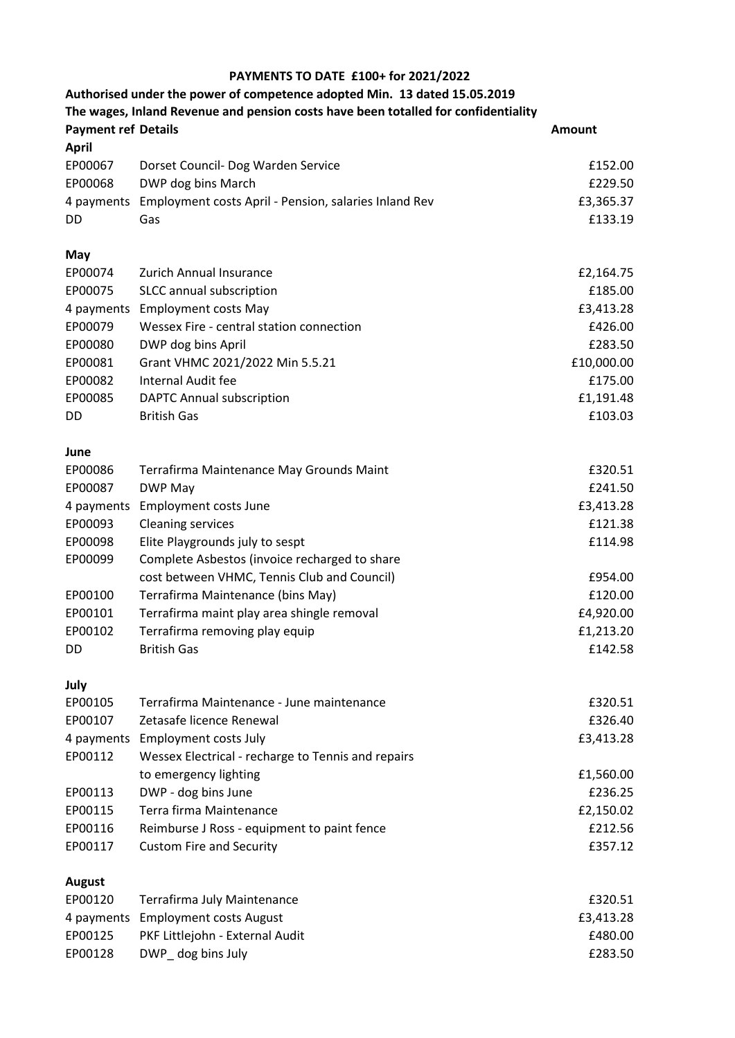## **PAYMENTS TO DATE £100+ for 2021/2022**

| Authorised under the power of competence adopted Min. 13 dated 15.05.2019<br>The wages, Inland Revenue and pension costs have been totalled for confidentiality |                                                       |                      |  |  |  |
|-----------------------------------------------------------------------------------------------------------------------------------------------------------------|-------------------------------------------------------|----------------------|--|--|--|
| <b>Payment ref Details</b>                                                                                                                                      |                                                       | Amount               |  |  |  |
| <b>April</b>                                                                                                                                                    |                                                       |                      |  |  |  |
| EP00067                                                                                                                                                         | Dorset Council- Dog Warden Service                    | £152.00              |  |  |  |
| EP00068                                                                                                                                                         | DWP dog bins March                                    | £229.50              |  |  |  |
| 4 payments                                                                                                                                                      | Employment costs April - Pension, salaries Inland Rev | £3,365.37            |  |  |  |
| DD                                                                                                                                                              | Gas                                                   | £133.19              |  |  |  |
| May                                                                                                                                                             |                                                       |                      |  |  |  |
| EP00074                                                                                                                                                         | <b>Zurich Annual Insurance</b>                        | £2,164.75            |  |  |  |
| EP00075                                                                                                                                                         | SLCC annual subscription                              | £185.00              |  |  |  |
| 4 payments                                                                                                                                                      | <b>Employment costs May</b>                           | £3,413.28            |  |  |  |
| EP00079                                                                                                                                                         | Wessex Fire - central station connection              | £426.00              |  |  |  |
| EP00080                                                                                                                                                         | DWP dog bins April                                    | £283.50              |  |  |  |
| EP00081                                                                                                                                                         | Grant VHMC 2021/2022 Min 5.5.21                       | £10,000.00           |  |  |  |
| EP00082                                                                                                                                                         | Internal Audit fee                                    | £175.00              |  |  |  |
| EP00085                                                                                                                                                         | <b>DAPTC Annual subscription</b>                      | £1,191.48            |  |  |  |
| DD                                                                                                                                                              | <b>British Gas</b>                                    | £103.03              |  |  |  |
| June                                                                                                                                                            |                                                       |                      |  |  |  |
| EP00086                                                                                                                                                         | Terrafirma Maintenance May Grounds Maint              | £320.51              |  |  |  |
| EP00087                                                                                                                                                         | DWP May<br><b>Employment costs June</b>               | £241.50<br>£3,413.28 |  |  |  |
| 4 payments<br>EP00093                                                                                                                                           | <b>Cleaning services</b>                              | £121.38              |  |  |  |
| EP00098                                                                                                                                                         | Elite Playgrounds july to sespt                       | £114.98              |  |  |  |
| EP00099                                                                                                                                                         | Complete Asbestos (invoice recharged to share         |                      |  |  |  |
|                                                                                                                                                                 | cost between VHMC, Tennis Club and Council)           | £954.00              |  |  |  |
| EP00100                                                                                                                                                         | Terrafirma Maintenance (bins May)                     | £120.00              |  |  |  |
| EP00101                                                                                                                                                         | Terrafirma maint play area shingle removal            | £4,920.00            |  |  |  |
| EP00102                                                                                                                                                         | Terrafirma removing play equip                        | £1,213.20            |  |  |  |
| DD                                                                                                                                                              | <b>British Gas</b>                                    | £142.58              |  |  |  |
| July                                                                                                                                                            |                                                       |                      |  |  |  |
| EP00105                                                                                                                                                         | Terrafirma Maintenance - June maintenance             | £320.51              |  |  |  |
| EP00107                                                                                                                                                         | Zetasafe licence Renewal                              | £326.40              |  |  |  |
| 4 payments                                                                                                                                                      | <b>Employment costs July</b>                          | £3,413.28            |  |  |  |
| EP00112                                                                                                                                                         | Wessex Electrical - recharge to Tennis and repairs    |                      |  |  |  |
|                                                                                                                                                                 | to emergency lighting                                 | £1,560.00            |  |  |  |
| EP00113                                                                                                                                                         | DWP - dog bins June                                   | £236.25              |  |  |  |
| EP00115                                                                                                                                                         | Terra firma Maintenance                               | £2,150.02            |  |  |  |
| EP00116                                                                                                                                                         | Reimburse J Ross - equipment to paint fence           | £212.56              |  |  |  |
| EP00117                                                                                                                                                         | <b>Custom Fire and Security</b>                       | £357.12              |  |  |  |
| <b>August</b>                                                                                                                                                   |                                                       |                      |  |  |  |
| EP00120                                                                                                                                                         | Terrafirma July Maintenance                           | £320.51              |  |  |  |
| 4 payments                                                                                                                                                      | <b>Employment costs August</b>                        | £3,413.28            |  |  |  |
| EP00125                                                                                                                                                         | PKF Littlejohn - External Audit                       | £480.00              |  |  |  |
| EP00128                                                                                                                                                         | DWP_ dog bins July                                    | £283.50              |  |  |  |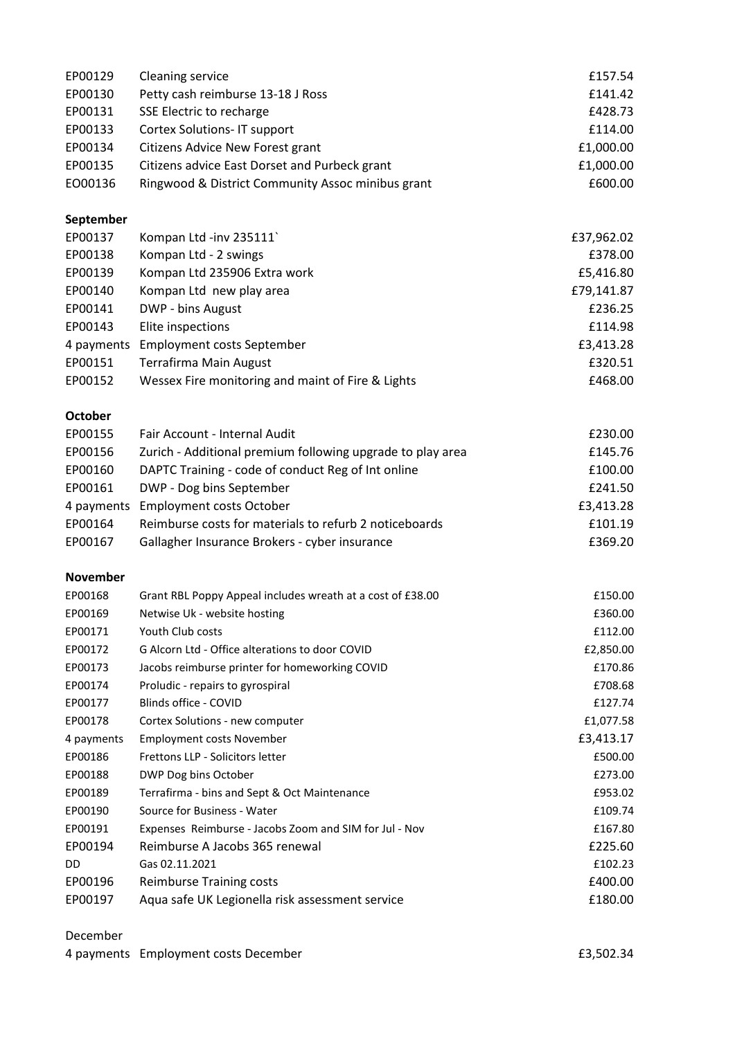| EP00129         | <b>Cleaning service</b>                                    | £157.54    |
|-----------------|------------------------------------------------------------|------------|
| EP00130         | Petty cash reimburse 13-18 J Ross                          | £141.42    |
| EP00131         | SSE Electric to recharge                                   | £428.73    |
| EP00133         | Cortex Solutions-IT support                                | £114.00    |
| EP00134         | Citizens Advice New Forest grant                           | £1,000.00  |
| EP00135         | Citizens advice East Dorset and Purbeck grant              | £1,000.00  |
| EO00136         | Ringwood & District Community Assoc minibus grant          | £600.00    |
|                 |                                                            |            |
| September       |                                                            |            |
| EP00137         | Kompan Ltd -inv 235111                                     | £37,962.02 |
| EP00138         | Kompan Ltd - 2 swings                                      | £378.00    |
| EP00139         | Kompan Ltd 235906 Extra work                               | £5,416.80  |
| EP00140         | Kompan Ltd new play area                                   | £79,141.87 |
| EP00141         | DWP - bins August                                          | £236.25    |
| EP00143         | Elite inspections                                          | £114.98    |
| 4 payments      | <b>Employment costs September</b>                          | £3,413.28  |
| EP00151         | Terrafirma Main August                                     | £320.51    |
| EP00152         | Wessex Fire monitoring and maint of Fire & Lights          | £468.00    |
|                 |                                                            |            |
| <b>October</b>  |                                                            |            |
| EP00155         | Fair Account - Internal Audit                              | £230.00    |
| EP00156         | Zurich - Additional premium following upgrade to play area | £145.76    |
| EP00160         | DAPTC Training - code of conduct Reg of Int online         | £100.00    |
| EP00161         | DWP - Dog bins September                                   | £241.50    |
| 4 payments      | <b>Employment costs October</b>                            | £3,413.28  |
| EP00164         | Reimburse costs for materials to refurb 2 noticeboards     | £101.19    |
| EP00167         | Gallagher Insurance Brokers - cyber insurance              | £369.20    |
| <b>November</b> |                                                            |            |
| EP00168         | Grant RBL Poppy Appeal includes wreath at a cost of £38.00 | £150.00    |
| EP00169         | Netwise Uk - website hosting                               | £360.00    |
| EP00171         | Youth Club costs                                           | £112.00    |
| EP00172         | G Alcorn Ltd - Office alterations to door COVID            | £2,850.00  |
| EP00173         | Jacobs reimburse printer for homeworking COVID             | £170.86    |
| EP00174         | Proludic - repairs to gyrospiral                           | £708.68    |
| EP00177         | Blinds office - COVID                                      | £127.74    |
| EP00178         | Cortex Solutions - new computer                            | £1,077.58  |
| 4 payments      | <b>Employment costs November</b>                           | £3,413.17  |
| EP00186         | Frettons LLP - Solicitors letter                           | £500.00    |
| EP00188         | DWP Dog bins October                                       | £273.00    |
| EP00189         | Terrafirma - bins and Sept & Oct Maintenance               | £953.02    |
| EP00190         | Source for Business - Water                                | £109.74    |
| EP00191         | Expenses Reimburse - Jacobs Zoom and SIM for Jul - Nov     | £167.80    |
| EP00194         | Reimburse A Jacobs 365 renewal                             | £225.60    |
| DD              | Gas 02.11.2021                                             | £102.23    |
| EP00196         | <b>Reimburse Training costs</b>                            | £400.00    |
| EP00197         | Aqua safe UK Legionella risk assessment service            | £180.00    |
|                 |                                                            |            |

## December

| 4 payments Employment costs December |  | £3,502.34 |
|--------------------------------------|--|-----------|
|--------------------------------------|--|-----------|